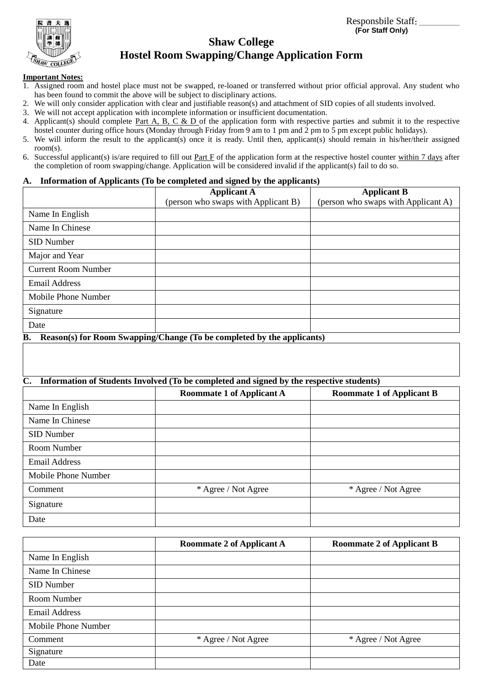Responsbile Staff**: \_\_\_\_\_\_\_\_\_\_ (For Staff Only)**



# **Shaw College Hostel Room Swapping/Change Application Form**

#### **Important Notes:**

- 1. Assigned room and hostel place must not be swapped, re-loaned or transferred without prior official approval. Any student who has been found to commit the above will be subject to disciplinary actions.
- 2. We will only consider application with clear and justifiable reason(s) and attachment of SID copies of all students involved.
- 3. We will not accept application with incomplete information or insufficient documentation.
- 4. Applicant(s) should complete Part A, B, C & D of the application form with respective parties and submit it to the respective hostel counter during office hours (Monday through Friday from 9 am to 1 pm and 2 pm to 5 pm except public holidays).
- 5. We will inform the result to the applicant(s) once it is ready. Until then, applicant(s) should remain in his/her/their assigned room(s).
- 6. Successful applicant(s) is/are required to fill out Part F of the application form at the respective hostel counter within 7 days after the completion of room swapping/change. Application will be considered invalid if the applicant(s) fail to do so.

### **A. Information of Applicants (To be completed and signed by the applicants)**

|                            | <b>Applicant A</b>                  | <b>Applicant B</b>                  |
|----------------------------|-------------------------------------|-------------------------------------|
|                            | (person who swaps with Applicant B) | (person who swaps with Applicant A) |
| Name In English            |                                     |                                     |
| Name In Chinese            |                                     |                                     |
| SID Number                 |                                     |                                     |
| Major and Year             |                                     |                                     |
| <b>Current Room Number</b> |                                     |                                     |
| <b>Email Address</b>       |                                     |                                     |
| Mobile Phone Number        |                                     |                                     |
| Signature                  |                                     |                                     |
| Date                       |                                     |                                     |

**B. Reason(s) for Room Swapping/Change (To be completed by the applicants)**

### **C. Information of Students Involved (To be completed and signed by the respective students)**

|                      | <b>Roommate 1 of Applicant A</b> | <b>Roommate 1 of Applicant B</b> |
|----------------------|----------------------------------|----------------------------------|
| Name In English      |                                  |                                  |
| Name In Chinese      |                                  |                                  |
| SID Number           |                                  |                                  |
| Room Number          |                                  |                                  |
| <b>Email Address</b> |                                  |                                  |
| Mobile Phone Number  |                                  |                                  |
| Comment              | * Agree / Not Agree              | * Agree / Not Agree              |
| Signature            |                                  |                                  |
| Date                 |                                  |                                  |

|                      | <b>Roommate 2 of Applicant A</b> | <b>Roommate 2 of Applicant B</b> |
|----------------------|----------------------------------|----------------------------------|
| Name In English      |                                  |                                  |
| Name In Chinese      |                                  |                                  |
| SID Number           |                                  |                                  |
| Room Number          |                                  |                                  |
| <b>Email Address</b> |                                  |                                  |
| Mobile Phone Number  |                                  |                                  |
| Comment              | * Agree / Not Agree              | * Agree / Not Agree              |
| Signature            |                                  |                                  |
| Date                 |                                  |                                  |